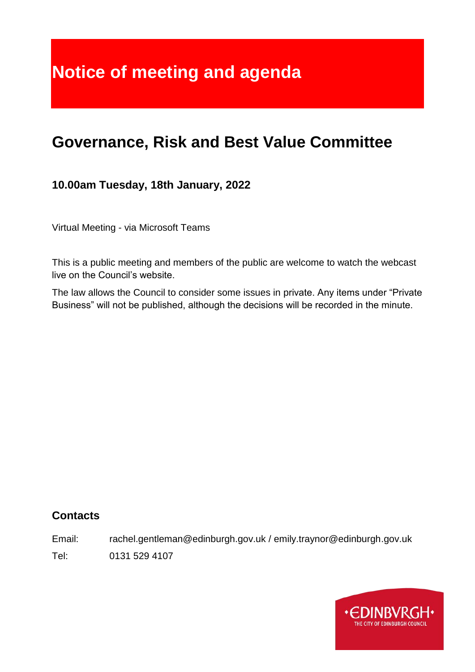# **Notice of meeting and agenda**

# **Governance, Risk and Best Value Committee**

**10.00am Tuesday, 18th January, 2022**

Virtual Meeting - via Microsoft Teams

This is a public meeting and members of the public are welcome to watch the webcast live on the Council's website.

The law allows the Council to consider some issues in private. Any items under "Private Business" will not be published, although the decisions will be recorded in the minute.

#### **Contacts**

Email: rachel.gentleman@edinburgh.gov.uk / emily.traynor@edinburgh.gov.uk

Tel: 0131 529 4107

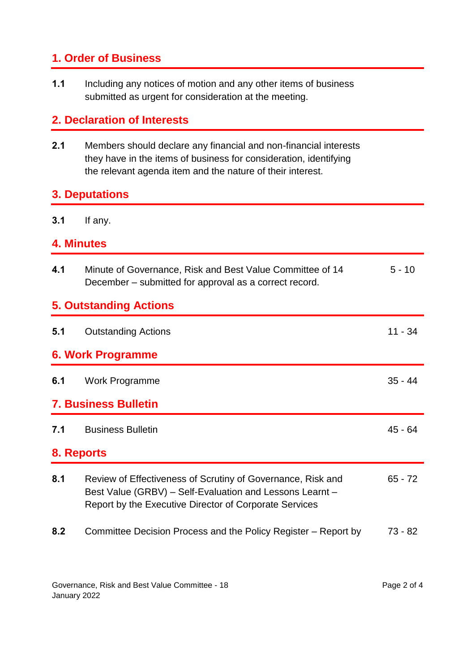## **1. Order of Business**

**1.1** Including any notices of motion and any other items of business submitted as urgent for consideration at the meeting.

### **2. Declaration of Interests**

**2.1** Members should declare any financial and non-financial interests they have in the items of business for consideration, identifying the relevant agenda item and the nature of their interest.

#### **3. Deputations**

**3.1** If any.

#### **4. Minutes**

| 4.1                           | Minute of Governance, Risk and Best Value Committee of 14<br>December – submitted for approval as a correct record.                                                               | $5 - 10$  |
|-------------------------------|-----------------------------------------------------------------------------------------------------------------------------------------------------------------------------------|-----------|
| <b>5. Outstanding Actions</b> |                                                                                                                                                                                   |           |
| 5.1                           | <b>Outstanding Actions</b>                                                                                                                                                        | $11 - 34$ |
| 6. Work Programme             |                                                                                                                                                                                   |           |
| 6.1                           | Work Programme                                                                                                                                                                    | $35 - 44$ |
| <b>7. Business Bulletin</b>   |                                                                                                                                                                                   |           |
| 7.1                           | <b>Business Bulletin</b>                                                                                                                                                          | 45 - 64   |
| 8. Reports                    |                                                                                                                                                                                   |           |
| 8.1                           | Review of Effectiveness of Scrutiny of Governance, Risk and<br>Best Value (GRBV) - Self-Evaluation and Lessons Learnt -<br>Report by the Executive Director of Corporate Services | $65 - 72$ |
| 8.2                           | Committee Decision Process and the Policy Register – Report by                                                                                                                    | 73 - 82   |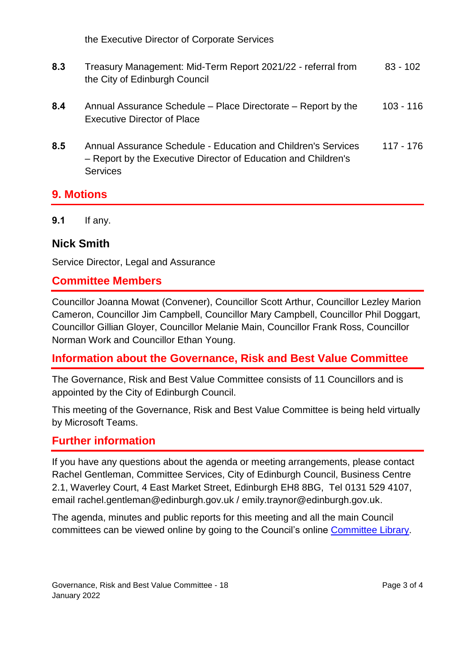the Executive Director of Corporate Services

- **8.3** Treasury Management: Mid-Term Report 2021/22 referral from the City of Edinburgh Council 83 - 102
- **8.4** Annual Assurance Schedule Place Directorate Report by the Executive Director of Place 103 - 116
- **8.5** Annual Assurance Schedule Education and Children's Services – Report by the Executive Director of Education and Children's **Services** 117 - 176

#### **9. Motions**

**9.1** If any.

#### **Nick Smith**

Service Director, Legal and Assurance

#### **Committee Members**

Councillor Joanna Mowat (Convener), Councillor Scott Arthur, Councillor Lezley Marion Cameron, Councillor Jim Campbell, Councillor Mary Campbell, Councillor Phil Doggart, Councillor Gillian Gloyer, Councillor Melanie Main, Councillor Frank Ross, Councillor Norman Work and Councillor Ethan Young.

#### **Information about the Governance, Risk and Best Value Committee**

The Governance, Risk and Best Value Committee consists of 11 Councillors and is appointed by the City of Edinburgh Council.

This meeting of the Governance, Risk and Best Value Committee is being held virtually by Microsoft Teams.

#### **Further information**

If you have any questions about the agenda or meeting arrangements, please contact Rachel Gentleman, Committee Services, City of Edinburgh Council, Business Centre 2.1, Waverley Court, 4 East Market Street, Edinburgh EH8 8BG, Tel 0131 529 4107, email rachel.gentleman@edinburgh.gov.uk / emily.traynor@edinburgh.gov.uk.

The agenda, minutes and public reports for this meeting and all the main Council committees can be viewed online by going to the Council's online [Committee Library.](https://democracy.edinburgh.gov.uk/ieDocHome.aspx?bcr=1)